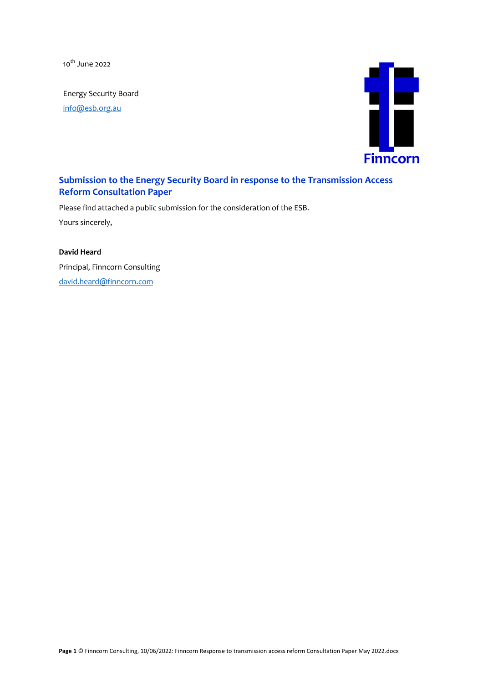10<sup>th</sup> June 2022

Energy Security Board

info@esb.org.au



## **Submission to the Energy Security Board in response to the Transmission Access Reform Consultation Paper**

Please find attached a public submission for the consideration of the ESB.

Yours sincerely,

**David Heard** Principal, Finncorn Consulting david.heard@finncorn.com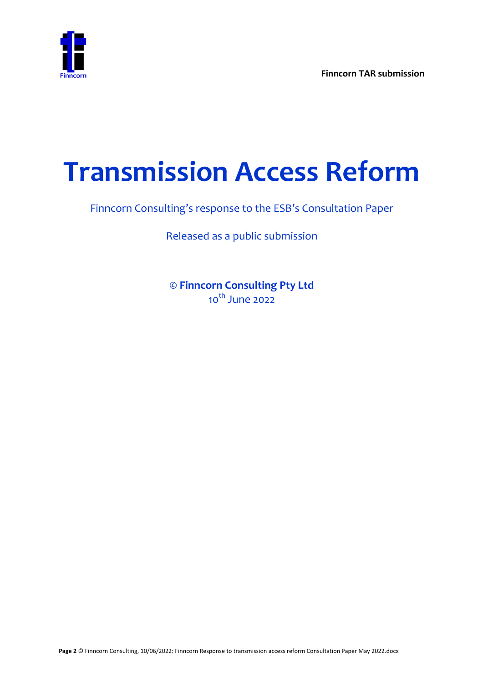

# **Transmission Access Reform**

Finncorn Consulting's response to the ESB's Consultation Paper

Released as a public submission

**© Finncorn Consulting Pty Ltd** 10<sup>th</sup> June 2022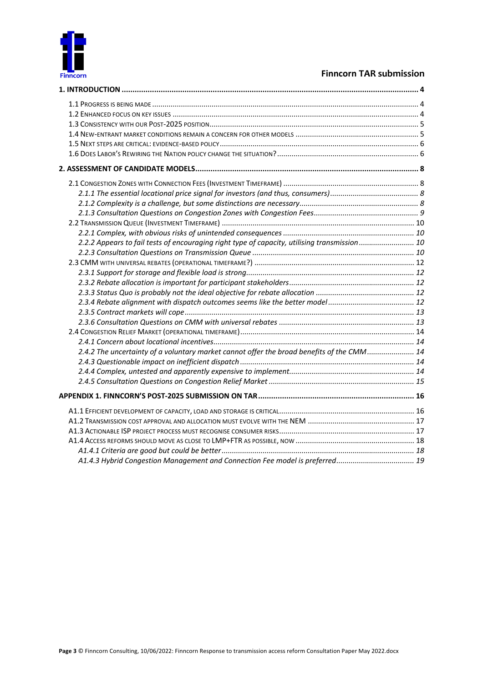

| 2.2.2 Appears to fail tests of encouraging right type of capacity, utilising transmission 10 |  |
|----------------------------------------------------------------------------------------------|--|
|                                                                                              |  |
|                                                                                              |  |
|                                                                                              |  |
|                                                                                              |  |
|                                                                                              |  |
|                                                                                              |  |
|                                                                                              |  |
|                                                                                              |  |
|                                                                                              |  |
|                                                                                              |  |
| 2.4.2 The uncertainty of a voluntary market cannot offer the broad benefits of the CMM 14    |  |
|                                                                                              |  |
|                                                                                              |  |
|                                                                                              |  |
|                                                                                              |  |
|                                                                                              |  |
|                                                                                              |  |
|                                                                                              |  |
|                                                                                              |  |
|                                                                                              |  |
|                                                                                              |  |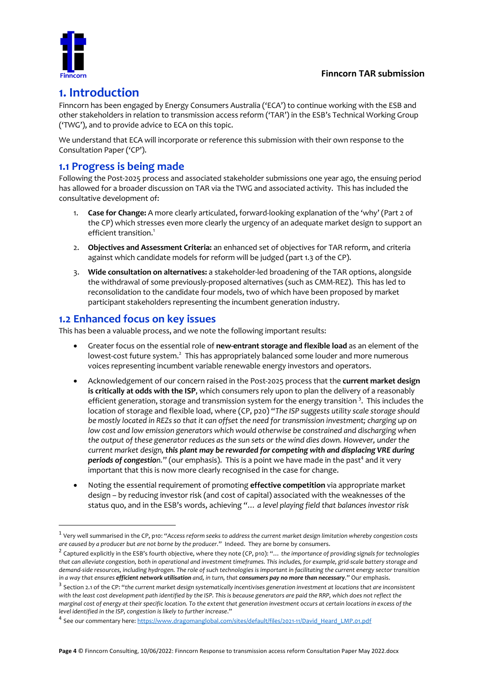

# **1. Introduction**

Finncorn has been engaged by Energy Consumers Australia ('ECA') to continue working with the ESB and other stakeholders in relation to transmission access reform ('TAR') in the ESB's Technical Working Group ('TWG'), and to provide advice to ECA on this topic.

We understand that ECA will incorporate or reference this submission with their own response to the Consultation Paper ('CP').

# **1.1 Progress is being made**

Following the Post-2025 process and associated stakeholder submissions one year ago, the ensuing period has allowed for a broader discussion on TAR via the TWG and associated activity. This has included the consultative development of:

- 1. **Case for Change:** A more clearly articulated, forward-looking explanation of the 'why' (Part 2 of the CP) which stresses even more clearly the urgency of an adequate market design to support an efficient transition.<sup>1</sup>
- 2. **Objectives and Assessment Criteria:** an enhanced set of objectives for TAR reform, and criteria against which candidate models for reform will be judged (part 1.3 of the CP).
- 3. **Wide consultation on alternatives:** a stakeholder-led broadening of the TAR options, alongside the withdrawal of some previously-proposed alternatives (such as CMM-REZ). This has led to reconsolidation to the candidate four models, two of which have been proposed by market participant stakeholders representing the incumbent generation industry.

## **1.2 Enhanced focus on key issues**

This has been a valuable process, and we note the following important results:

- Greater focus on the essential role of **new-entrant storage and flexible load** as an element of the lowest-cost future system.<sup>2</sup> This has appropriately balanced some louder and more numerous voices representing incumbent variable renewable energy investors and operators.
- Acknowledgement of our concern raised in the Post-2025 process that the **current market design is critically at odds with the ISP**, which consumers rely upon to plan the delivery of a reasonably efficient generation, storage and transmission system for the energy transition<sup>3</sup>. This includes the location of storage and flexible load, where (CP, p20) "*The ISP suggests utility scale storage should be mostly located in REZs so that it can offset the need for transmission investment; charging up on low cost and low emission generators which would otherwise be constrained and discharging when the output of these generator reduces as the sun sets or the wind dies down. However, under the current market design, this plant may be rewarded for competing with and displacing VRE during periods of congestion.*" (our emphasis). This is a point we have made in the past<sup>4</sup> and it very important that this is now more clearly recognised in the case for change.
- Noting the essential requirement of promoting **effective competition** via appropriate market design – by reducing investor risk (and cost of capital) associated with the weaknesses of the status quo, and in the ESB's words, achieving *"… a level playing field that balances investor risk*

<sup>1</sup> Very well summarised in the CP, p10: "*Access reform seeks to address the current market design limitation whereby congestion costs are caused by a producer but are not borne by the producer.*" Indeed. They are borne by consumers.

<sup>2</sup> Captured explicitly in the ESB's fourth objective, where they note (CP, p10): "… *the importance of providing signals for technologies that can alleviate congestion, both in operational and investment timeframes. This includes, for example, grid-scale battery storage and demand-side resources, including hydrogen. The role of such technologies is important in facilitating the current energy sector transition in a way that ensures efficient network utilisation and, in turn, that consumers pay no more than necessary*." Our emphasis.

<sup>3</sup> Section 2.1 of the CP: "*the current market design systematically incentivises generation investment at locations that are inconsistent with the least cost development path identified by the ISP. This is because generators are paid the RRP, which does not reflect the marginal cost of energy at their specific location. To the extent that generation investment occurs at certain locations in excess of the level identified in the ISP, congestion is likely to further increase*."

<sup>4</sup> See our commentary here: https://www.dragomanglobal.com/sites/default/files/2021-11/David\_Heard\_LMP.01.pdf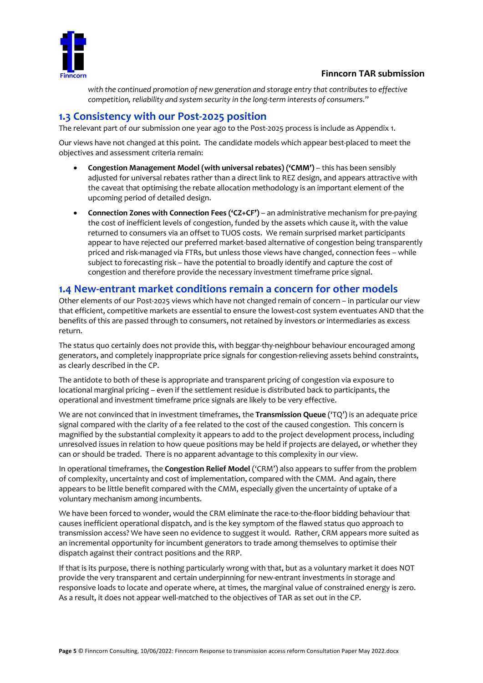

*with the continued promotion of new generation and storage entry that contributes to effective competition, reliability and system security in the long-term interests of consumers*."

## **1.3 Consistency with our Post-2025 position**

The relevant part of our submission one year ago to the Post-2025 process is include as Appendix 1.

Our views have not changed at this point. The candidate models which appear best-placed to meet the objectives and assessment criteria remain:

- **Congestion Management Model (with universal rebates) ('CMM')** this has been sensibly adjusted for universal rebates rather than a direct link to REZ design, and appears attractive with the caveat that optimising the rebate allocation methodology is an important element of the upcoming period of detailed design.
- **Connection Zones with Connection Fees ('CZ+CF')** an administrative mechanism for pre-paying the cost of inefficient levels of congestion, funded by the assets which cause it, with the value returned to consumers via an offset to TUOS costs. We remain surprised market participants appear to have rejected our preferred market-based alternative of congestion being transparently priced and risk-managed via FTRs, but unless those views have changed, connection fees – while subject to forecasting risk – have the potential to broadly identify and capture the cost of congestion and therefore provide the necessary investment timeframe price signal.

## **1.4 New-entrant market conditions remain a concern for other models**

Other elements of our Post-2025 views which have not changed remain of concern – in particular our view that efficient, competitive markets are essential to ensure the lowest-cost system eventuates AND that the benefits of this are passed through to consumers, not retained by investors or intermediaries as excess return.

The status quo certainly does not provide this, with beggar-thy-neighbour behaviour encouraged among generators, and completely inappropriate price signals for congestion-relieving assets behind constraints, as clearly described in the CP.

The antidote to both of these is appropriate and transparent pricing of congestion via exposure to locational marginal pricing – even if the settlement residue is distributed back to participants, the operational and investment timeframe price signals are likely to be very effective.

We are not convinced that in investment timeframes, the **Transmission Queue** ('TQ') is an adequate price signal compared with the clarity of a fee related to the cost of the caused congestion. This concern is magnified by the substantial complexity it appears to add to the project development process, including unresolved issues in relation to how queue positions may be held if projects are delayed, or whether they can or should be traded. There is no apparent advantage to this complexity in our view.

In operational timeframes, the **Congestion Relief Model** ('CRM') also appears to suffer from the problem of complexity, uncertainty and cost of implementation, compared with the CMM. And again, there appears to be little benefit compared with the CMM, especially given the uncertainty of uptake of a voluntary mechanism among incumbents.

We have been forced to wonder, would the CRM eliminate the race-to-the-floor bidding behaviour that causes inefficient operational dispatch, and is the key symptom of the flawed status quo approach to transmission access? We have seen no evidence to suggest it would. Rather, CRM appears more suited as an incremental opportunity for incumbent generators to trade among themselves to optimise their dispatch against their contract positions and the RRP.

If that is its purpose, there is nothing particularly wrong with that, but as a voluntary market it does NOT provide the very transparent and certain underpinning for new-entrant investments in storage and responsive loads to locate and operate where, at times, the marginal value of constrained energy is zero. As a result, it does not appear well-matched to the objectives of TAR as set out in the CP.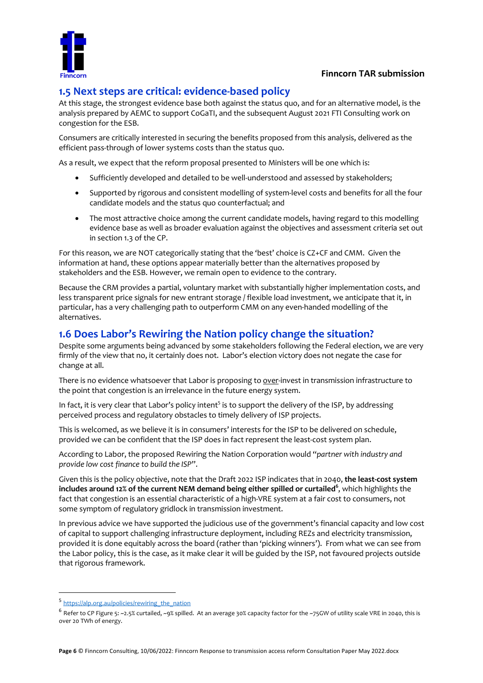

# **1.5 Next steps are critical: evidence-based policy**

At this stage, the strongest evidence base both against the status quo, and for an alternative model, is the analysis prepared by AEMC to support CoGaTI, and the subsequent August 2021 FTI Consulting work on congestion for the ESB.

Consumers are critically interested in securing the benefits proposed from this analysis, delivered as the efficient pass-through of lower systems costs than the status quo.

As a result, we expect that the reform proposal presented to Ministers will be one which is:

- Sufficiently developed and detailed to be well-understood and assessed by stakeholders;
- Supported by rigorous and consistent modelling of system-level costs and benefits for all the four candidate models and the status quo counterfactual; and
- The most attractive choice among the current candidate models, having regard to this modelling evidence base as well as broader evaluation against the objectives and assessment criteria set out in section 1.3 of the CP.

For this reason, we are NOT categorically stating that the 'best' choice is CZ+CF and CMM. Given the information at hand, these options appear materially better than the alternatives proposed by stakeholders and the ESB. However, we remain open to evidence to the contrary.

Because the CRM provides a partial, voluntary market with substantially higher implementation costs, and less transparent price signals for new entrant storage / flexible load investment, we anticipate that it, in particular, has a very challenging path to outperform CMM on any even-handed modelling of the alternatives.

# **1.6 Does Labor's Rewiring the Nation policy change the situation?**

Despite some arguments being advanced by some stakeholders following the Federal election, we are very firmly of the view that no, it certainly does not. Labor's election victory does not negate the case for change at all.

There is no evidence whatsoever that Labor is proposing to over-invest in transmission infrastructure to the point that congestion is an irrelevance in the future energy system.

In fact, it is very clear that Labor's policy intent<sup>5</sup> is to support the delivery of the ISP, by addressing perceived process and regulatory obstacles to timely delivery of ISP projects.

This is welcomed, as we believe it is in consumers' interests for the ISP to be delivered on schedule, provided we can be confident that the ISP does in fact represent the least-cost system plan.

According to Labor, the proposed Rewiring the Nation Corporation would "*partner with industry and provide low cost finance to build the ISP*".

Given this is the policy objective, note that the Draft 2022 ISP indicates that in 2040, **the least-cost system includes around 12% of the current NEM demand being either spilled or curtailed<sup>6</sup>** , which highlights the fact that congestion is an essential characteristic of a high-VRE system at a fair cost to consumers, not some symptom of regulatory gridlock in transmission investment.

In previous advice we have supported the judicious use of the government's financial capacity and low cost of capital to support challenging infrastructure deployment, including REZs and electricity transmission, provided it is done equitably across the board (rather than 'picking winners'). From what we can see from the Labor policy, this is the case, as it make clear it will be guided by the ISP, not favoured projects outside that rigorous framework.

<sup>5</sup> https://alp.org.au/policies/rewiring\_the\_nation

<sup>6</sup> Refer to CP Figure 5: ~2.5% curtailed, ~9% spilled. At an average 30% capacity factor for the ~75GW of utility scale VRE in 2040, this is over 20 TWh of energy.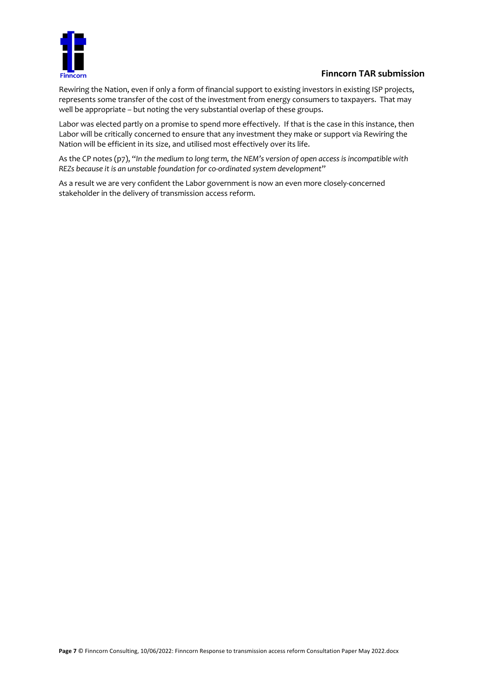

Rewiring the Nation, even if only a form of financial support to existing investors in existing ISP projects, represents some transfer of the cost of the investment from energy consumers to taxpayers. That may well be appropriate – but noting the very substantial overlap of these groups.

Labor was elected partly on a promise to spend more effectively. If that is the case in this instance, then Labor will be critically concerned to ensure that any investment they make or support via Rewiring the Nation will be efficient in its size, and utilised most effectively over its life.

As the CP notes (p7), "*In the medium to long term, the NEM's version of open access is incompatible with REZs because it is an unstable foundation for co-ordinated system development*"

As a result we are very confident the Labor government is now an even more closely-concerned stakeholder in the delivery of transmission access reform.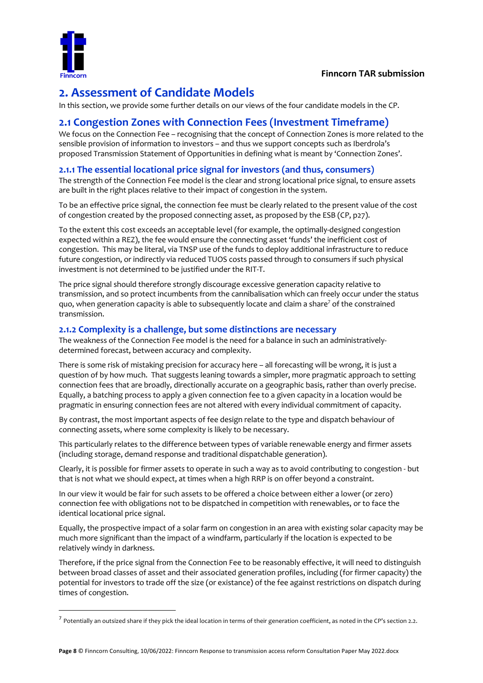

# **2. Assessment of Candidate Models**

In this section, we provide some further details on our views of the four candidate models in the CP.

# **2.1 Congestion Zones with Connection Fees (Investment Timeframe)**

We focus on the Connection Fee – recognising that the concept of Connection Zones is more related to the sensible provision of information to investors – and thus we support concepts such as Iberdrola's proposed Transmission Statement of Opportunities in defining what is meant by 'Connection Zones'.

#### **2.1.1 The essential locational price signal for investors (and thus, consumers)**

The strength of the Connection Fee model is the clear and strong locational price signal, to ensure assets are built in the right places relative to their impact of congestion in the system.

To be an effective price signal, the connection fee must be clearly related to the present value of the cost of congestion created by the proposed connecting asset, as proposed by the ESB (CP, p27).

To the extent this cost exceeds an acceptable level (for example, the optimally-designed congestion expected within a REZ), the fee would ensure the connecting asset 'funds' the inefficient cost of congestion. This may be literal, via TNSP use of the funds to deploy additional infrastructure to reduce future congestion, or indirectly via reduced TUOS costs passed through to consumers if such physical investment is not determined to be justified under the RIT-T.

The price signal should therefore strongly discourage excessive generation capacity relative to transmission, and so protect incumbents from the cannibalisation which can freely occur under the status quo, when generation capacity is able to subsequently locate and claim a share<sup>7</sup> of the constrained transmission.

#### **2.1.2 Complexity is a challenge, but some distinctions are necessary**

The weakness of the Connection Fee model is the need for a balance in such an administrativelydetermined forecast, between accuracy and complexity.

There is some risk of mistaking precision for accuracy here – all forecasting will be wrong, it is just a question of by how much. That suggests leaning towards a simpler, more pragmatic approach to setting connection fees that are broadly, directionally accurate on a geographic basis, rather than overly precise. Equally, a batching process to apply a given connection fee to a given capacity in a location would be pragmatic in ensuring connection fees are not altered with every individual commitment of capacity.

By contrast, the most important aspects of fee design relate to the type and dispatch behaviour of connecting assets, where some complexity is likely to be necessary.

This particularly relates to the difference between types of variable renewable energy and firmer assets (including storage, demand response and traditional dispatchable generation).

Clearly, it is possible for firmer assets to operate in such a way as to avoid contributing to congestion - but that is not what we should expect, at times when a high RRP is on offer beyond a constraint.

In our view it would be fair for such assets to be offered a choice between either a lower (or zero) connection fee with obligations not to be dispatched in competition with renewables, or to face the identical locational price signal.

Equally, the prospective impact of a solar farm on congestion in an area with existing solar capacity may be much more significant than the impact of a windfarm, particularly if the location is expected to be relatively windy in darkness.

Therefore, if the price signal from the Connection Fee to be reasonably effective, it will need to distinguish between broad classes of asset and their associated generation profiles, including (for firmer capacity) the potential for investors to trade off the size (or existance) of the fee against restrictions on dispatch during times of congestion.

 $^7$  Potentially an outsized share if they pick the ideal location in terms of their generation coefficient, as noted in the CP's section 2.2.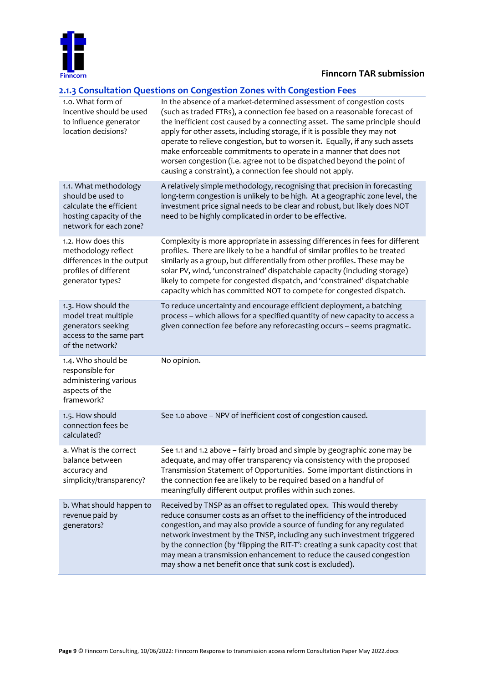

#### **2.1.3 Consultation Questions on Congestion Zones with Congestion Fees**

| 1.0. What form of<br>incentive should be used<br>to influence generator<br>location decisions?                             | In the absence of a market-determined assessment of congestion costs<br>(such as traded FTRs), a connection fee based on a reasonable forecast of<br>the inefficient cost caused by a connecting asset. The same principle should<br>apply for other assets, including storage, if it is possible they may not<br>operate to relieve congestion, but to worsen it. Equally, if any such assets<br>make enforceable commitments to operate in a manner that does not<br>worsen congestion (i.e. agree not to be dispatched beyond the point of<br>causing a constraint), a connection fee should not apply. |
|----------------------------------------------------------------------------------------------------------------------------|------------------------------------------------------------------------------------------------------------------------------------------------------------------------------------------------------------------------------------------------------------------------------------------------------------------------------------------------------------------------------------------------------------------------------------------------------------------------------------------------------------------------------------------------------------------------------------------------------------|
| 1.1. What methodology<br>should be used to<br>calculate the efficient<br>hosting capacity of the<br>network for each zone? | A relatively simple methodology, recognising that precision in forecasting<br>long-term congestion is unlikely to be high. At a geographic zone level, the<br>investment price signal needs to be clear and robust, but likely does NOT<br>need to be highly complicated in order to be effective.                                                                                                                                                                                                                                                                                                         |
| 1.2. How does this<br>methodology reflect<br>differences in the output<br>profiles of different<br>generator types?        | Complexity is more appropriate in assessing differences in fees for different<br>profiles. There are likely to be a handful of similar profiles to be treated<br>similarly as a group, but differentially from other profiles. These may be<br>solar PV, wind, 'unconstrained' dispatchable capacity (including storage)<br>likely to compete for congested dispatch, and 'constrained' dispatchable<br>capacity which has committed NOT to compete for congested dispatch.                                                                                                                                |
| 1.3. How should the<br>model treat multiple<br>generators seeking<br>access to the same part<br>of the network?            | To reduce uncertainty and encourage efficient deployment, a batching<br>process - which allows for a specified quantity of new capacity to access a<br>given connection fee before any reforecasting occurs - seems pragmatic.                                                                                                                                                                                                                                                                                                                                                                             |
| 1.4. Who should be<br>responsible for<br>administering various<br>aspects of the<br>framework?                             | No opinion.                                                                                                                                                                                                                                                                                                                                                                                                                                                                                                                                                                                                |
| 1.5. How should<br>connection fees be<br>calculated?                                                                       | See 1.0 above - NPV of inefficient cost of congestion caused.                                                                                                                                                                                                                                                                                                                                                                                                                                                                                                                                              |
| a. What is the correct<br>balance between<br>accuracy and<br>simplicity/transparency?                                      | See 1.1 and 1.2 above - fairly broad and simple by geographic zone may be<br>adequate, and may offer transparency via consistency with the proposed<br>Transmission Statement of Opportunities. Some important distinctions in<br>the connection fee are likely to be required based on a handful of<br>meaningfully different output profiles within such zones.                                                                                                                                                                                                                                          |
| b. What should happen to<br>revenue paid by<br>generators?                                                                 | Received by TNSP as an offset to regulated opex. This would thereby<br>reduce consumer costs as an offset to the inefficiency of the introduced<br>congestion, and may also provide a source of funding for any regulated<br>network investment by the TNSP, including any such investment triggered<br>by the connection (by 'flipping the RIT-T': creating a sunk capacity cost that<br>may mean a transmission enhancement to reduce the caused congestion<br>may show a net benefit once that sunk cost is excluded).                                                                                  |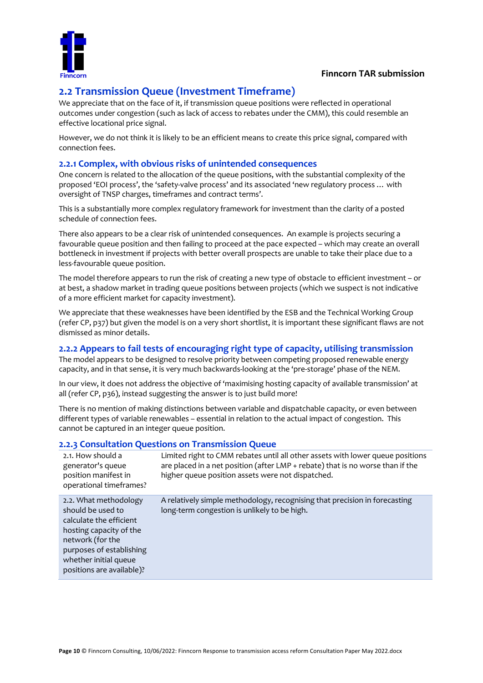

# **2.2 Transmission Queue (Investment Timeframe)**

We appreciate that on the face of it, if transmission queue positions were reflected in operational outcomes under congestion (such as lack of access to rebates under the CMM), this could resemble an effective locational price signal.

However, we do not think it is likely to be an efficient means to create this price signal, compared with connection fees.

#### **2.2.1 Complex, with obvious risks of unintended consequences**

One concern is related to the allocation of the queue positions, with the substantial complexity of the proposed 'EOI process', the 'safety-valve process' and its associated 'new regulatory process … with oversight of TNSP charges, timeframes and contract terms'.

This is a substantially more complex regulatory framework for investment than the clarity of a posted schedule of connection fees.

There also appears to be a clear risk of unintended consequences. An example is projects securing a favourable queue position and then failing to proceed at the pace expected – which may create an overall bottleneck in investment if projects with better overall prospects are unable to take their place due to a less-favourable queue position.

The model therefore appears to run the risk of creating a new type of obstacle to efficient investment – or at best, a shadow market in trading queue positions between projects (which we suspect is not indicative of a more efficient market for capacity investment).

We appreciate that these weaknesses have been identified by the ESB and the Technical Working Group (refer CP, p37) but given the model is on a very short shortlist, it is important these significant flaws are not dismissed as minor details.

#### **2.2.2 Appears to fail tests of encouraging right type of capacity, utilising transmission**

The model appears to be designed to resolve priority between competing proposed renewable energy capacity, and in that sense, it is very much backwards-looking at the 'pre-storage' phase of the NEM.

In our view, it does not address the objective of 'maximising hosting capacity of available transmission' at all (refer CP, p36), instead suggesting the answer is to just build more!

There is no mention of making distinctions between variable and dispatchable capacity, or even between different types of variable renewables – essential in relation to the actual impact of congestion. This cannot be captured in an integer queue position.

#### **2.2.3 Consultation Questions on Transmission Queue**

| Limited right to CMM rebates until all other assets with lower queue positions<br>2.1. How should a<br>are placed in a net position (after LMP + rebate) that is no worse than if the<br>generator's queue<br>higher queue position assets were not dispatched.<br>position manifest in<br>operational timeframes?<br>A relatively simple methodology, recognising that precision in forecasting<br>2.2. What methodology<br>should be used to<br>long-term congestion is unlikely to be high.<br>calculate the efficient<br>hosting capacity of the<br>network (for the<br>purposes of establishing<br>whether initial queue<br>positions are available)? |  |
|------------------------------------------------------------------------------------------------------------------------------------------------------------------------------------------------------------------------------------------------------------------------------------------------------------------------------------------------------------------------------------------------------------------------------------------------------------------------------------------------------------------------------------------------------------------------------------------------------------------------------------------------------------|--|
|                                                                                                                                                                                                                                                                                                                                                                                                                                                                                                                                                                                                                                                            |  |
|                                                                                                                                                                                                                                                                                                                                                                                                                                                                                                                                                                                                                                                            |  |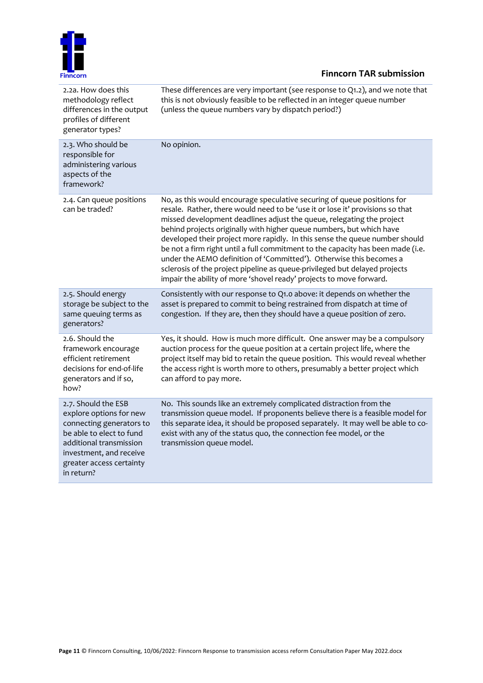

| 2.2a. How does this<br>methodology reflect<br>differences in the output<br>profiles of different<br>generator types?                                                                                   | These differences are very important (see response to $Q1.2$ ), and we note that<br>this is not obviously feasible to be reflected in an integer queue number<br>(unless the queue numbers vary by dispatch period?)                                                                                                                                                                                                                                                                                                                                                                                                                                                                                    |
|--------------------------------------------------------------------------------------------------------------------------------------------------------------------------------------------------------|---------------------------------------------------------------------------------------------------------------------------------------------------------------------------------------------------------------------------------------------------------------------------------------------------------------------------------------------------------------------------------------------------------------------------------------------------------------------------------------------------------------------------------------------------------------------------------------------------------------------------------------------------------------------------------------------------------|
| 2.3. Who should be<br>responsible for<br>administering various<br>aspects of the<br>framework?                                                                                                         | No opinion.                                                                                                                                                                                                                                                                                                                                                                                                                                                                                                                                                                                                                                                                                             |
| 2.4. Can queue positions<br>can be traded?                                                                                                                                                             | No, as this would encourage speculative securing of queue positions for<br>resale. Rather, there would need to be 'use it or lose it' provisions so that<br>missed development deadlines adjust the queue, relegating the project<br>behind projects originally with higher queue numbers, but which have<br>developed their project more rapidly. In this sense the queue number should<br>be not a firm right until a full commitment to the capacity has been made (i.e.<br>under the AEMO definition of 'Committed'). Otherwise this becomes a<br>sclerosis of the project pipeline as queue-privileged but delayed projects<br>impair the ability of more 'shovel ready' projects to move forward. |
| 2.5. Should energy<br>storage be subject to the<br>same queuing terms as<br>generators?                                                                                                                | Consistently with our response to Q1.0 above: it depends on whether the<br>asset is prepared to commit to being restrained from dispatch at time of<br>congestion. If they are, then they should have a queue position of zero.                                                                                                                                                                                                                                                                                                                                                                                                                                                                         |
| 2.6. Should the<br>framework encourage<br>efficient retirement<br>decisions for end-of-life<br>generators and if so,<br>how?                                                                           | Yes, it should. How is much more difficult. One answer may be a compulsory<br>auction process for the queue position at a certain project life, where the<br>project itself may bid to retain the queue position. This would reveal whether<br>the access right is worth more to others, presumably a better project which<br>can afford to pay more.                                                                                                                                                                                                                                                                                                                                                   |
| 2.7. Should the ESB<br>explore options for new<br>connecting generators to<br>be able to elect to fund<br>additional transmission<br>investment, and receive<br>greater access certainty<br>in return? | No. This sounds like an extremely complicated distraction from the<br>transmission queue model. If proponents believe there is a feasible model for<br>this separate idea, it should be proposed separately. It may well be able to co-<br>exist with any of the status quo, the connection fee model, or the<br>transmission queue model.                                                                                                                                                                                                                                                                                                                                                              |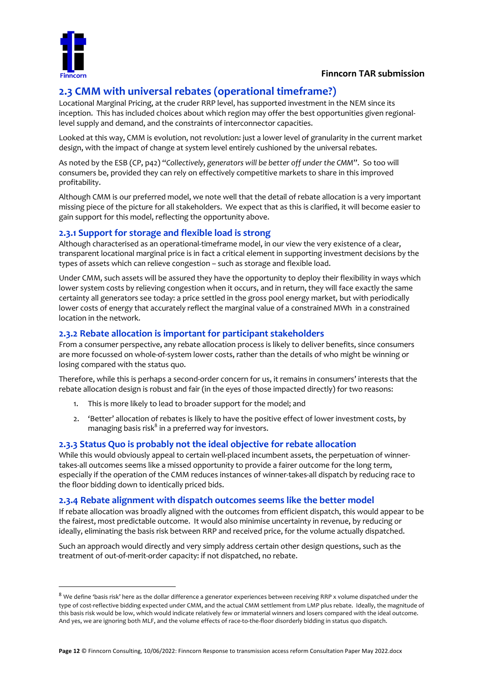

# **2.3 CMM with universal rebates (operational timeframe?)**

Locational Marginal Pricing, at the cruder RRP level, has supported investment in the NEM since its inception. This has included choices about which region may offer the best opportunities given regionallevel supply and demand, and the constraints of interconnector capacities.

Looked at this way, CMM is evolution, not revolution: just a lower level of granularity in the current market design, with the impact of change at system level entirely cushioned by the universal rebates.

As noted by the ESB (CP, p42) "*Collectively, generators will be better off under the CMM*". So too will consumers be, provided they can rely on effectively competitive markets to share in this improved profitability.

Although CMM is our preferred model, we note well that the detail of rebate allocation is a very important missing piece of the picture for all stakeholders. We expect that as this is clarified, it will become easier to gain support for this model, reflecting the opportunity above.

#### **2.3.1 Support for storage and flexible load is strong**

Although characterised as an operational-timeframe model, in our view the very existence of a clear, transparent locational marginal price is in fact a critical element in supporting investment decisions by the types of assets which can relieve congestion – such as storage and flexible load.

Under CMM, such assets will be assured they have the opportunity to deploy their flexibility in ways which lower system costs by relieving congestion when it occurs, and in return, they will face exactly the same certainty all generators see today: a price settled in the gross pool energy market, but with periodically lower costs of energy that accurately reflect the marginal value of a constrained MWh in a constrained location in the network.

#### **2.3.2 Rebate allocation is important for participant stakeholders**

From a consumer perspective, any rebate allocation process is likely to deliver benefits, since consumers are more focussed on whole-of-system lower costs, rather than the details of who might be winning or losing compared with the status quo.

Therefore, while this is perhaps a second-order concern for us, it remains in consumers' interests that the rebate allocation design is robust and fair (in the eyes of those impacted directly) for two reasons:

- 1. This is more likely to lead to broader support for the model; and
- 2. 'Better' allocation of rebates is likely to have the positive effect of lower investment costs, by managing basis risk $^8$  in a preferred way for investors.

### **2.3.3 Status Quo is probably not the ideal objective for rebate allocation**

While this would obviously appeal to certain well-placed incumbent assets, the perpetuation of winnertakes-all outcomes seems like a missed opportunity to provide a fairer outcome for the long term, especially if the operation of the CMM reduces instances of winner-takes-all dispatch by reducing race to the floor bidding down to identically priced bids.

#### **2.3.4 Rebate alignment with dispatch outcomes seems like the better model**

If rebate allocation was broadly aligned with the outcomes from efficient dispatch, this would appear to be the fairest, most predictable outcome. It would also minimise uncertainty in revenue, by reducing or ideally, eliminating the basis risk between RRP and received price, for the volume actually dispatched.

Such an approach would directly and very simply address certain other design questions, such as the treatment of out-of-merit-order capacity: if not dispatched, no rebate.

<sup>&</sup>lt;sup>8</sup> We define 'basis risk' here as the dollar difference a generator experiences between receiving RRP x volume dispatched under the type of cost-reflective bidding expected under CMM, and the actual CMM settlement from LMP plus rebate. Ideally, the magnitude of this basis risk would be low, which would indicate relatively few or immaterial winners and losers compared with the ideal outcome. And yes, we are ignoring both MLF, and the volume effects of race-to-the-floor disorderly bidding in status quo dispatch.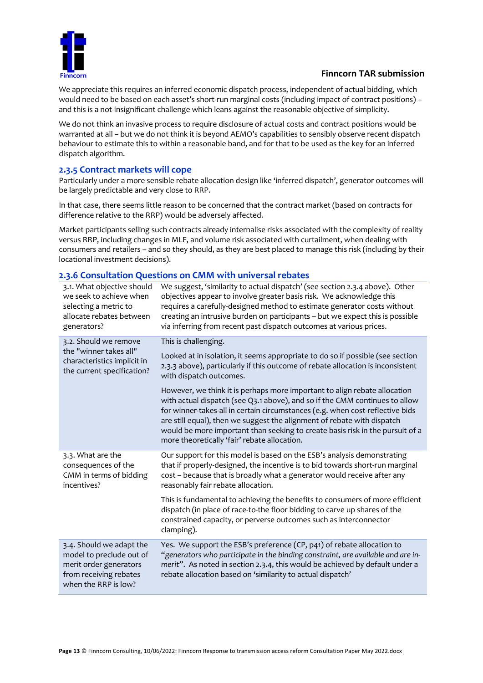

We appreciate this requires an inferred economic dispatch process, independent of actual bidding, which would need to be based on each asset's short-run marginal costs (including impact of contract positions) – and this is a not-insignificant challenge which leans against the reasonable objective of simplicity.

We do not think an invasive process to require disclosure of actual costs and contract positions would be warranted at all – but we do not think it is beyond AEMO's capabilities to sensibly observe recent dispatch behaviour to estimate this to within a reasonable band, and for that to be used as the key for an inferred dispatch algorithm.

#### **2.3.5 Contract markets will cope**

Particularly under a more sensible rebate allocation design like 'inferred dispatch', generator outcomes will be largely predictable and very close to RRP.

In that case, there seems little reason to be concerned that the contract market (based on contracts for difference relative to the RRP) would be adversely affected.

Market participants selling such contracts already internalise risks associated with the complexity of reality versus RRP, including changes in MLF, and volume risk associated with curtailment, when dealing with consumers and retailers – and so they should, as they are best placed to manage this risk (including by their locational investment decisions).

#### **2.3.6 Consultation Questions on CMM with universal rebates**

| We suggest, 'similarity to actual dispatch' (see section 2.3.4 above). Other<br>objectives appear to involve greater basis risk. We acknowledge this<br>requires a carefully-designed method to estimate generator costs without<br>creating an intrusive burden on participants - but we expect this is possible<br>via inferring from recent past dispatch outcomes at various prices.                                                              |
|-------------------------------------------------------------------------------------------------------------------------------------------------------------------------------------------------------------------------------------------------------------------------------------------------------------------------------------------------------------------------------------------------------------------------------------------------------|
| This is challenging.                                                                                                                                                                                                                                                                                                                                                                                                                                  |
| Looked at in isolation, it seems appropriate to do so if possible (see section<br>2.3.3 above), particularly if this outcome of rebate allocation is inconsistent<br>with dispatch outcomes.                                                                                                                                                                                                                                                          |
| However, we think it is perhaps more important to align rebate allocation<br>with actual dispatch (see Q3.1 above), and so if the CMM continues to allow<br>for winner-takes-all in certain circumstances (e.g. when cost-reflective bids<br>are still equal), then we suggest the alignment of rebate with dispatch<br>would be more important than seeking to create basis risk in the pursuit of a<br>more theoretically 'fair' rebate allocation. |
| Our support for this model is based on the ESB's analysis demonstrating<br>that if properly-designed, the incentive is to bid towards short-run marginal<br>cost - because that is broadly what a generator would receive after any                                                                                                                                                                                                                   |
| reasonably fair rebate allocation.                                                                                                                                                                                                                                                                                                                                                                                                                    |
| This is fundamental to achieving the benefits to consumers of more efficient<br>dispatch (in place of race-to-the floor bidding to carve up shares of the<br>constrained capacity, or perverse outcomes such as interconnector<br>clamping).                                                                                                                                                                                                          |
|                                                                                                                                                                                                                                                                                                                                                                                                                                                       |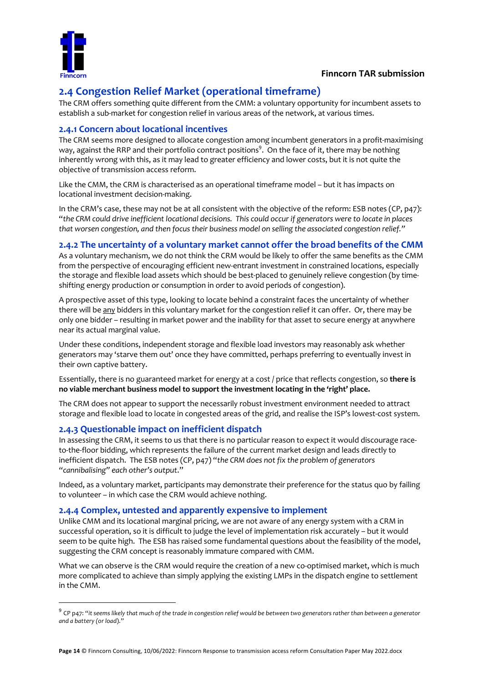

# **2.4 Congestion Relief Market (operational timeframe)**

The CRM offers something quite different from the CMM: a voluntary opportunity for incumbent assets to establish a sub-market for congestion relief in various areas of the network, at various times.

#### **2.4.1 Concern about locational incentives**

The CRM seems more designed to allocate congestion among incumbent generators in a profit-maximising way, against the RRP and their portfolio contract positions $^9$ . On the face of it, there may be nothing inherently wrong with this, as it may lead to greater efficiency and lower costs, but it is not quite the objective of transmission access reform.

Like the CMM, the CRM is characterised as an operational timeframe model – but it has impacts on locational investment decision-making.

In the CRM's case, these may not be at all consistent with the objective of the reform: ESB notes (CP, p47): "*the CRM could drive inefficient locational decisions. This could occur if generators were to locate in places that worsen congestion, and then focus their business model on selling the associated congestion relief."*

#### **2.4.2 The uncertainty of a voluntary market cannot offer the broad benefits of the CMM**

As a voluntary mechanism, we do not think the CRM would be likely to offer the same benefits as the CMM from the perspective of encouraging efficient new-entrant investment in constrained locations, especially the storage and flexible load assets which should be best-placed to genuinely relieve congestion (by timeshifting energy production or consumption in order to avoid periods of congestion).

A prospective asset of this type, looking to locate behind a constraint faces the uncertainty of whether there will be any bidders in this voluntary market for the congestion relief it can offer. Or, there may be only one bidder – resulting in market power and the inability for that asset to secure energy at anywhere near its actual marginal value.

Under these conditions, independent storage and flexible load investors may reasonably ask whether generators may 'starve them out' once they have committed, perhaps preferring to eventually invest in their own captive battery.

Essentially, there is no guaranteed market for energy at a cost / price that reflects congestion, so **there is no viable merchant business model to support the investment locating in the 'right' place.**

The CRM does not appear to support the necessarily robust investment environment needed to attract storage and flexible load to locate in congested areas of the grid, and realise the ISP's lowest-cost system.

#### **2.4.3 Questionable impact on inefficient dispatch**

In assessing the CRM, it seems to us that there is no particular reason to expect it would discourage raceto-the-floor bidding, which represents the failure of the current market design and leads directly to inefficient dispatch. The ESB notes (CP, p47) "*the CRM does not fix the problem of generators "cannibalising" each other's output*."

Indeed, as a voluntary market, participants may demonstrate their preference for the status quo by failing to volunteer – in which case the CRM would achieve nothing.

#### **2.4.4 Complex, untested and apparently expensive to implement**

Unlike CMM and its locational marginal pricing, we are not aware of any energy system with a CRM in successful operation, so it is difficult to judge the level of implementation risk accurately – but it would seem to be quite high. The ESB has raised some fundamental questions about the feasibility of the model, suggesting the CRM concept is reasonably immature compared with CMM.

What we can observe is the CRM would require the creation of a new co-optimised market, which is much more complicated to achieve than simply applying the existing LMPs in the dispatch engine to settlement in the CMM.

<sup>9</sup> CP p47: "*it seems likely that much of the trade in congestion relief would be between two generators rather than between a generator and a battery (or load*)."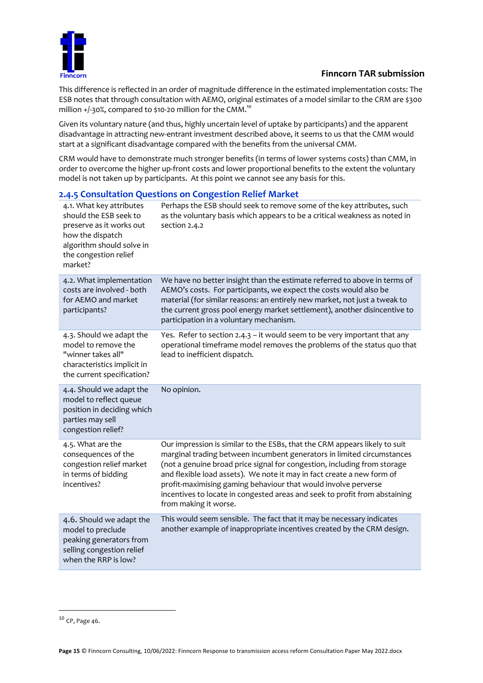

This difference is reflected in an order of magnitude difference in the estimated implementation costs: The ESB notes that through consultation with AEMO, original estimates of a model similar to the CRM are \$300 million  $+/-30$ %, compared to \$10-20 million for the CMM.<sup>10</sup>

Given its voluntary nature (and thus, highly uncertain level of uptake by participants) and the apparent disadvantage in attracting new-entrant investment described above, it seems to us that the CMM would start at a significant disadvantage compared with the benefits from the universal CMM.

CRM would have to demonstrate much stronger benefits (in terms of lower systems costs) than CMM, in order to overcome the higher up-front costs and lower proportional benefits to the extent the voluntary model is not taken up by participants. At this point we cannot see any basis for this.

#### 4.1. What key attributes should the ESB seek to preserve as it works out how the dispatch algorithm should solve in the congestion relief market? Perhaps the ESB should seek to remove some of the key attributes, such as the voluntary basis which appears to be a critical weakness as noted in section 2.4.2 4.2. What implementation costs are involved - both for AEMO and market participants? We have no better insight than the estimate referred to above in terms of AEMO's costs. For participants, we expect the costs would also be material (for similar reasons: an entirely new market, not just a tweak to the current gross pool energy market settlement), another disincentive to participation in a voluntary mechanism. 4.3. Should we adapt the model to remove the "winner takes all" characteristics implicit in the current specification? Yes. Refer to section 2.4.3 – it would seem to be very important that any operational timeframe model removes the problems of the status quo that lead to inefficient dispatch. 4.4. Should we adapt the model to reflect queue position in deciding which parties may sell congestion relief? No opinion. 4.5. What are the consequences of the congestion relief market in terms of bidding incentives? Our impression is similar to the ESBs, that the CRM appears likely to suit marginal trading between incumbent generators in limited circumstances (not a genuine broad price signal for congestion, including from storage and flexible load assets). We note it may in fact create a new form of profit-maximising gaming behaviour that would involve perverse incentives to locate in congested areas and seek to profit from abstaining from making it worse. 4.6. Should we adapt the model to preclude peaking generators from selling congestion relief when the RRP is low? This would seem sensible. The fact that it may be necessary indicates another example of inappropriate incentives created by the CRM design.

#### **2.4.5 Consultation Questions on Congestion Relief Market**

<sup>10</sup> CP, Page 46.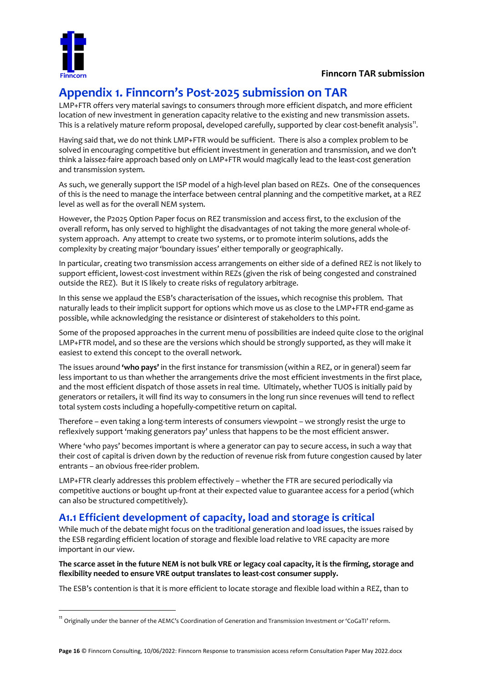

# **Appendix 1. Finncorn's Post-2025 submission on TAR**

LMP+FTR offers very material savings to consumers through more efficient dispatch, and more efficient location of new investment in generation capacity relative to the existing and new transmission assets. This is a relatively mature reform proposal, developed carefully, supported by clear cost-benefit analysis $^{\text{11}}$ .

Having said that, we do not think LMP+FTR would be sufficient. There is also a complex problem to be solved in encouraging competitive but efficient investment in generation and transmission, and we don't think a laissez-faire approach based only on LMP+FTR would magically lead to the least-cost generation and transmission system.

As such, we generally support the ISP model of a high-level plan based on REZs. One of the consequences of this is the need to manage the interface between central planning and the competitive market, at a REZ level as well as for the overall NEM system.

However, the P2025 Option Paper focus on REZ transmission and access first, to the exclusion of the overall reform, has only served to highlight the disadvantages of not taking the more general whole-ofsystem approach. Any attempt to create two systems, or to promote interim solutions, adds the complexity by creating major 'boundary issues' either temporally or geographically.

In particular, creating two transmission access arrangements on either side of a defined REZ is not likely to support efficient, lowest-cost investment within REZs (given the risk of being congested and constrained outside the REZ). But it IS likely to create risks of regulatory arbitrage.

In this sense we applaud the ESB's characterisation of the issues, which recognise this problem. That naturally leads to their implicit support for options which move us as close to the LMP+FTR end-game as possible, while acknowledging the resistance or disinterest of stakeholders to this point.

Some of the proposed approaches in the current menu of possibilities are indeed quite close to the original LMP+FTR model, and so these are the versions which should be strongly supported, as they will make it easiest to extend this concept to the overall network.

The issues around **'who pays'** in the first instance for transmission (within a REZ, or in general) seem far less important to us than whether the arrangements drive the most efficient investments in the first place, and the most efficient dispatch of those assets in real time. Ultimately, whether TUOS is initially paid by generators or retailers, it will find its way to consumers in the long run since revenues will tend to reflect total system costs including a hopefully-competitive return on capital.

Therefore – even taking a long-term interests of consumers viewpoint – we strongly resist the urge to reflexively support 'making generators pay' unless that happens to be the most efficient answer.

Where 'who pays' becomes important is where a generator can pay to secure access, in such a way that their cost of capital is driven down by the reduction of revenue risk from future congestion caused by later entrants – an obvious free-rider problem.

LMP+FTR clearly addresses this problem effectively – whether the FTR are secured periodically via competitive auctions or bought up-front at their expected value to guarantee access for a period (which can also be structured competitively).

# **A1.1 Efficient development of capacity, load and storage is critical**

While much of the debate might focus on the traditional generation and load issues, the issues raised by the ESB regarding efficient location of storage and flexible load relative to VRE capacity are more important in our view.

**The scarce asset in the future NEM is not bulk VRE or legacy coal capacity, it is the firming, storage and flexibility needed to ensure VRE output translates to least-cost consumer supply.** 

The ESB's contention is that it is more efficient to locate storage and flexible load within a REZ, than to

<sup>11</sup> Originally under the banner of the AEMC's Coordination of Generation and Transmission Investment or 'CoGaTI' reform.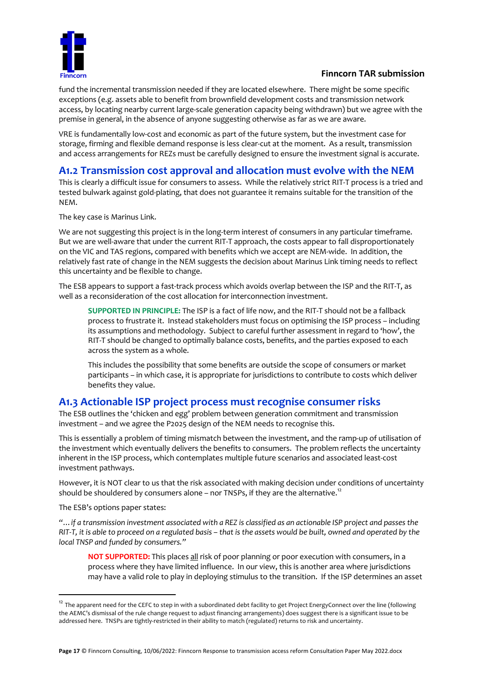

fund the incremental transmission needed if they are located elsewhere. There might be some specific exceptions (e.g. assets able to benefit from brownfield development costs and transmission network access, by locating nearby current large-scale generation capacity being withdrawn) but we agree with the premise in general, in the absence of anyone suggesting otherwise as far as we are aware.

VRE is fundamentally low-cost and economic as part of the future system, but the investment case for storage, firming and flexible demand response is less clear-cut at the moment. As a result, transmission and access arrangements for REZs must be carefully designed to ensure the investment signal is accurate.

## **A1.2 Transmission cost approval and allocation must evolve with the NEM**

This is clearly a difficult issue for consumers to assess. While the relatively strict RIT-T process is a tried and tested bulwark against gold-plating, that does not guarantee it remains suitable for the transition of the NEM.

The key case is Marinus Link.

We are not suggesting this project is in the long-term interest of consumers in any particular timeframe. But we are well-aware that under the current RIT-T approach, the costs appear to fall disproportionately on the VIC and TAS regions, compared with benefits which we accept are NEM-wide. In addition, the relatively fast rate of change in the NEM suggests the decision about Marinus Link timing needs to reflect this uncertainty and be flexible to change.

The ESB appears to support a fast-track process which avoids overlap between the ISP and the RIT-T, as well as a reconsideration of the cost allocation for interconnection investment.

**SUPPORTED IN PRINCIPLE:** The ISP is a fact of life now, and the RIT-T should not be a fallback process to frustrate it. Instead stakeholders must focus on optimising the ISP process – including its assumptions and methodology. Subject to careful further assessment in regard to 'how', the RIT-T should be changed to optimally balance costs, benefits, and the parties exposed to each across the system as a whole.

This includes the possibility that some benefits are outside the scope of consumers or market participants – in which case, it is appropriate for jurisdictions to contribute to costs which deliver benefits they value.

## **A1.3 Actionable ISP project process must recognise consumer risks**

The ESB outlines the 'chicken and egg' problem between generation commitment and transmission investment – and we agree the P2025 design of the NEM needs to recognise this.

This is essentially a problem of timing mismatch between the investment, and the ramp-up of utilisation of the investment which eventually delivers the benefits to consumers. The problem reflects the uncertainty inherent in the ISP process, which contemplates multiple future scenarios and associated least-cost investment pathways.

However, it is NOT clear to us that the risk associated with making decision under conditions of uncertainty should be shouldered by consumers alone – nor TNSPs, if they are the alternative.<sup>12</sup>

The ESB's options paper states:

*"…if a transmission investment associated with a REZ is classified as an actionable ISP project and passes the RIT-T, it is able to proceed on a regulated basis – that is the assets would be built, owned and operated by the local TNSP and funded by consumers."*

**NOT SUPPORTED:** This places all risk of poor planning or poor execution with consumers, in a process where they have limited influence. In our view, this is another area where jurisdictions may have a valid role to play in deploying stimulus to the transition. If the ISP determines an asset

 $12$  The apparent need for the CEFC to step in with a subordinated debt facility to get Project EnergyConnect over the line (following the AEMC's dismissal of the rule change request to adjust financing arrangements) does suggest there is a significant issue to be addressed here. TNSPs are tightly-restricted in their ability to match (regulated) returns to risk and uncertainty.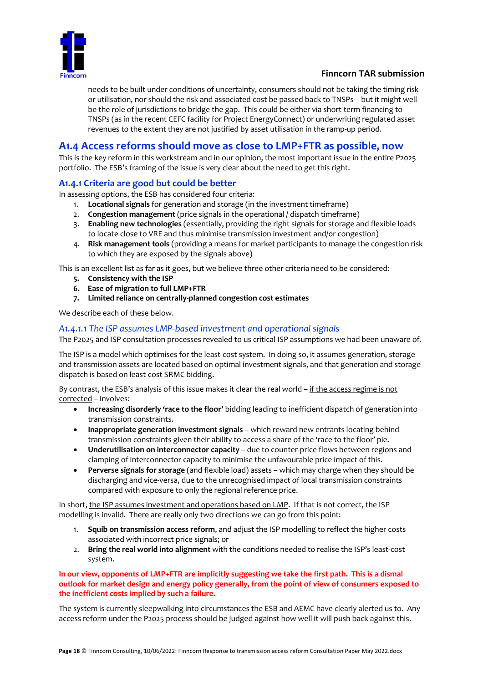

needs to be built under conditions of uncertainty, consumers should not be taking the timing risk or utilisation, nor should the risk and associated cost be passed back to TNSPs – but it might well be the role of jurisdictions to bridge the gap. This could be either via short-term financing to TNSPs (as in the recent CEFC facility for Project EnergyConnect) or underwriting regulated asset revenues to the extent they are not justified by asset utilisation in the ramp-up period.

# **A1.4 Access reforms should move as close to LMP+FTR as possible, now**

This is the key reform in this workstream and in our opinion, the most important issue in the entire P2025 portfolio. The ESB's framing of the issue is very clear about the need to get this right.

#### **A1.4.1 Criteria are good but could be better**

In assessing options, the ESB has considered four criteria:

- 1. **Locational signals** for generation and storage (in the investment timeframe)
- 2. **Congestion management** (price signals in the operational / dispatch timeframe)
- 3. **Enabling new technologies** (essentially, providing the right signals for storage and flexible loads to locate close to VRE and thus minimise transmission investment and/or congestion)
- 4. **Risk management tools** (providing a means for market participants to manage the congestion risk to which they are exposed by the signals above)

This is an excellent list as far as it goes, but we believe three other criteria need to be considered:

- **5. Consistency with the ISP**
- **6. Ease of migration to full LMP+FTR**
- **7. Limited reliance on centrally-planned congestion cost estimates**

We describe each of these below.

#### *A1.4.1.1 The ISP assumes LMP-based investment and operational signals*

The P2025 and ISP consultation processes revealed to us critical ISP assumptions we had been unaware of.

The ISP is a model which optimises for the least-cost system. In doing so, it assumes generation, storage and transmission assets are located based on optimal investment signals, and that generation and storage dispatch is based on least-cost SRMC bidding.

By contrast, the ESB's analysis of this issue makes it clear the real world – if the access regime is not corrected – involves:

- **Increasing disorderly 'race to the floor'** bidding leading to inefficient dispatch of generation into transmission constraints.
- **Inappropriate generation investment signals** which reward new entrants locating behind transmission constraints given their ability to access a share of the 'race to the floor' pie.
- **Underutilisation on interconnector capacity** due to counter-price flows between regions and clamping of interconnector capacity to minimise the unfavourable price impact of this.
- **Perverse signals for storage** (and flexible load) assets which may charge when they should be discharging and vice-versa, due to the unrecognised impact of local transmission constraints compared with exposure to only the regional reference price.

In short, the ISP assumes investment and operations based on LMP. If that is not correct, the ISP modelling is invalid. There are really only two directions we can go from this point:

- 1. **Squib on transmission access reform**, and adjust the ISP modelling to reflect the higher costs associated with incorrect price signals; or
- 2. **Bring the real world into alignment** with the conditions needed to realise the ISP's least-cost system.

#### **In our view, opponents of LMP+FTR are implicitly suggesting we take the first path. This is a dismal outlook for market design and energy policy generally, from the point of view of consumers exposed to the inefficient costs implied by such a failure.**

The system is currently sleepwalking into circumstances the ESB and AEMC have clearly alerted us to. Any access reform under the P2025 process should be judged against how well it will push back against this.